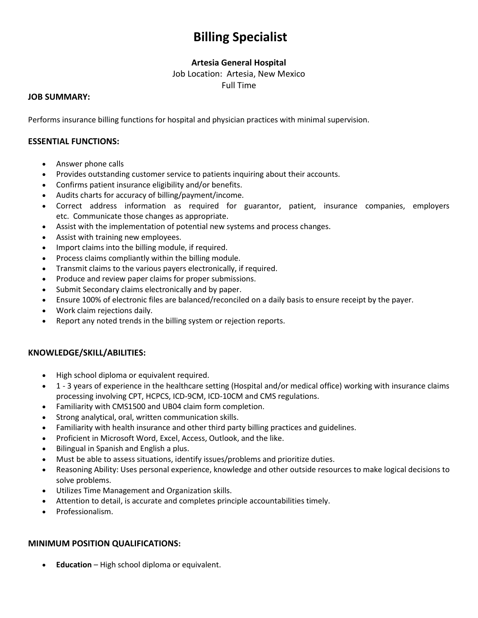# **Billing Specialist**

# **Artesia General Hospital**

Job Location: Artesia, New Mexico

Full Time

#### **JOB SUMMARY:**

Performs insurance billing functions for hospital and physician practices with minimal supervision.

## **ESSENTIAL FUNCTIONS:**

- Answer phone calls
- Provides outstanding customer service to patients inquiring about their accounts.
- Confirms patient insurance eligibility and/or benefits.
- Audits charts for accuracy of billing/payment/income.
- Correct address information as required for guarantor, patient, insurance companies, employers etc. Communicate those changes as appropriate.
- Assist with the implementation of potential new systems and process changes.
- Assist with training new employees.
- Import claims into the billing module, if required.
- Process claims compliantly within the billing module.
- Transmit claims to the various payers electronically, if required.
- Produce and review paper claims for proper submissions.
- Submit Secondary claims electronically and by paper.
- Ensure 100% of electronic files are balanced/reconciled on a daily basis to ensure receipt by the payer.
- Work claim rejections daily.
- Report any noted trends in the billing system or rejection reports.

## **KNOWLEDGE/SKILL/ABILITIES:**

- High school diploma or equivalent required.
- 1 3 years of experience in the healthcare setting (Hospital and/or medical office) working with insurance claims processing involving CPT, HCPCS, ICD-9CM, ICD-10CM and CMS regulations.
- Familiarity with CMS1500 and UB04 claim form completion.
- Strong analytical, oral, written communication skills.
- Familiarity with health insurance and other third party billing practices and guidelines.
- Proficient in Microsoft Word, Excel, Access, Outlook, and the like.
- Bilingual in Spanish and English a plus.
- Must be able to assess situations, identify issues/problems and prioritize duties.
- Reasoning Ability: Uses personal experience, knowledge and other outside resources to make logical decisions to solve problems.
- Utilizes Time Management and Organization skills.
- Attention to detail, is accurate and completes principle accountabilities timely.
- Professionalism.

## **MINIMUM POSITION QUALIFICATIONS:**

• **Education** – High school diploma or equivalent.